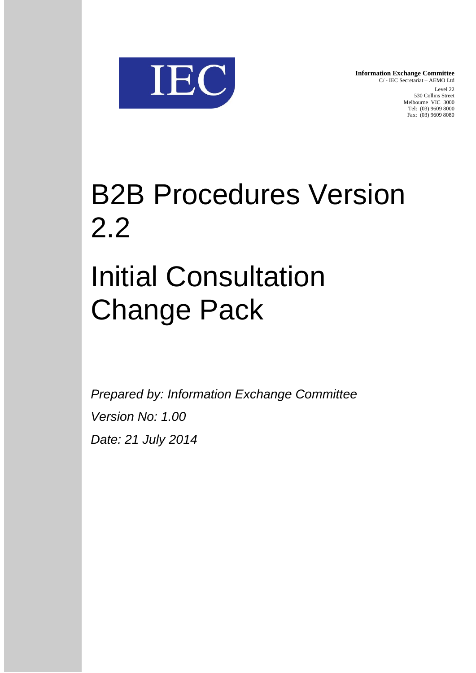

**Information Exchange Committee** C/ - IEC Secretariat – AEMO Ltd Level 22 530 Collins Street Melbourne VIC 3000 Tel: (03) 9609 8000 Fax: (03) 9609 8080

# B2B Procedures Version 2.2

## Initial Consultation Change Pack

*Prepared by: Information Exchange Committee Version No: 1.00 Date: 21 July 2014*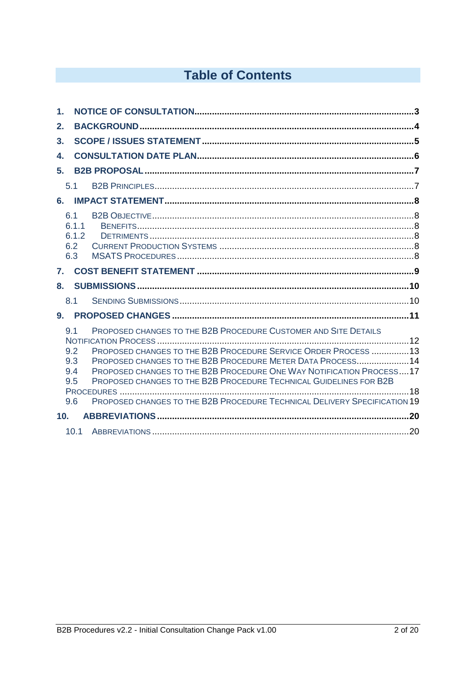## **Table of Contents**

| 1.           |                                        |                                                                                                                                                                                                                                                                                                                                                                                                                            |  |
|--------------|----------------------------------------|----------------------------------------------------------------------------------------------------------------------------------------------------------------------------------------------------------------------------------------------------------------------------------------------------------------------------------------------------------------------------------------------------------------------------|--|
| 2.           |                                        |                                                                                                                                                                                                                                                                                                                                                                                                                            |  |
| 3.           |                                        |                                                                                                                                                                                                                                                                                                                                                                                                                            |  |
| 4.           |                                        |                                                                                                                                                                                                                                                                                                                                                                                                                            |  |
| 5.           |                                        |                                                                                                                                                                                                                                                                                                                                                                                                                            |  |
|              | 5.1                                    |                                                                                                                                                                                                                                                                                                                                                                                                                            |  |
| 6.           |                                        |                                                                                                                                                                                                                                                                                                                                                                                                                            |  |
|              | 6.1<br>6.1.1<br>6.1.2<br>6.2<br>6.3    |                                                                                                                                                                                                                                                                                                                                                                                                                            |  |
| $\mathbf{7}$ |                                        |                                                                                                                                                                                                                                                                                                                                                                                                                            |  |
| 8.           |                                        |                                                                                                                                                                                                                                                                                                                                                                                                                            |  |
|              | 8.1                                    |                                                                                                                                                                                                                                                                                                                                                                                                                            |  |
| $9-$         |                                        |                                                                                                                                                                                                                                                                                                                                                                                                                            |  |
|              | 9.1<br>9.2<br>9.3<br>9.4<br>9.5<br>9.6 | PROPOSED CHANGES TO THE B2B PROCEDURE CUSTOMER AND SITE DETAILS<br>PROPOSED CHANGES TO THE B2B PROCEDURE SERVICE ORDER PROCESS 13<br>PROPOSED CHANGES TO THE B2B PROCEDURE METER DATA PROCESS14<br>PROPOSED CHANGES TO THE B2B PROCEDURE ONE WAY NOTIFICATION PROCESS17<br>PROPOSED CHANGES TO THE B2B PROCEDURE TECHNICAL GUIDELINES FOR B2B<br>PROPOSED CHANGES TO THE B2B PROCEDURE TECHNICAL DELIVERY SPECIFICATION 19 |  |
| 10.          |                                        |                                                                                                                                                                                                                                                                                                                                                                                                                            |  |
|              | 10.1                                   |                                                                                                                                                                                                                                                                                                                                                                                                                            |  |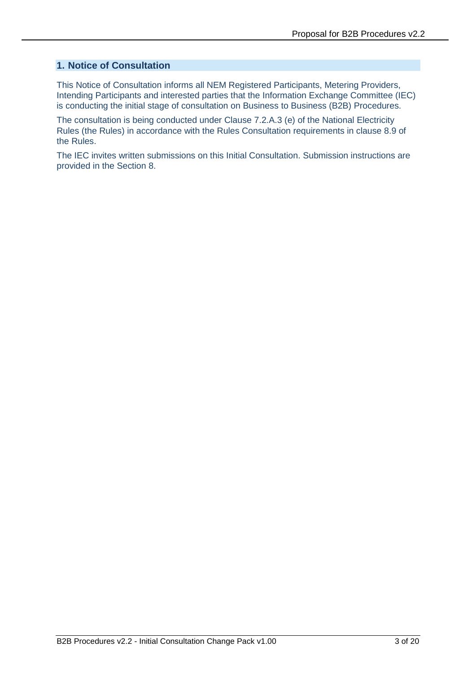#### **1. Notice of Consultation**

This Notice of Consultation informs all NEM Registered Participants, Metering Providers, Intending Participants and interested parties that the Information Exchange Committee (IEC) is conducting the initial stage of consultation on Business to Business (B2B) Procedures.

The consultation is being conducted under Clause 7.2.A.3 (e) of the National Electricity Rules (the Rules) in accordance with the Rules Consultation requirements in clause 8.9 of the Rules.

The IEC invites written submissions on this Initial Consultation. Submission instructions are provided in the Section 8.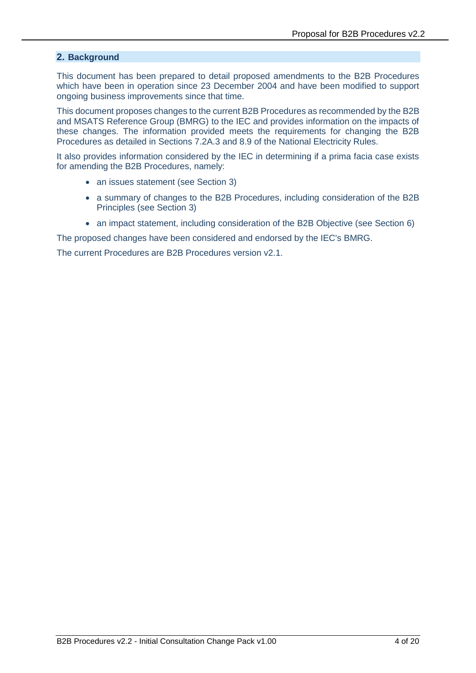#### **2. Background**

This document has been prepared to detail proposed amendments to the B2B Procedures which have been in operation since 23 December 2004 and have been modified to support ongoing business improvements since that time.

This document proposes changes to the current B2B Procedures as recommended by the B2B and MSATS Reference Group (BMRG) to the IEC and provides information on the impacts of these changes. The information provided meets the requirements for changing the B2B Procedures as detailed in Sections 7.2A.3 and 8.9 of the National Electricity Rules.

It also provides information considered by the IEC in determining if a prima facia case exists for amending the B2B Procedures, namely:

- an issues statement (see Section 3)
- a summary of changes to the B2B Procedures, including consideration of the B2B Principles (see Section 3)
- an impact statement, including consideration of the B2B Objective (see Section 6)

The proposed changes have been considered and endorsed by the IEC's BMRG.

The current Procedures are B2B Procedures version v2.1.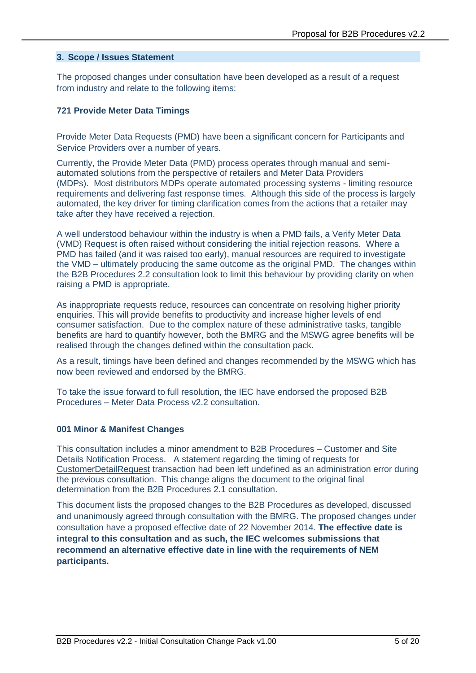#### **3. Scope / Issues Statement**

The proposed changes under consultation have been developed as a result of a request from industry and relate to the following items:

#### **721 Provide Meter Data Timings**

Provide Meter Data Requests (PMD) have been a significant concern for Participants and Service Providers over a number of years.

Currently, the Provide Meter Data (PMD) process operates through manual and semiautomated solutions from the perspective of retailers and Meter Data Providers (MDPs). Most distributors MDPs operate automated processing systems - limiting resource requirements and delivering fast response times. Although this side of the process is largely automated, the key driver for timing clarification comes from the actions that a retailer may take after they have received a rejection.

A well understood behaviour within the industry is when a PMD fails, a Verify Meter Data (VMD) Request is often raised without considering the initial rejection reasons. Where a PMD has failed (and it was raised too early), manual resources are required to investigate the VMD – ultimately producing the same outcome as the original PMD. The changes within the B2B Procedures 2.2 consultation look to limit this behaviour by providing clarity on when raising a PMD is appropriate.

As inappropriate requests reduce, resources can concentrate on resolving higher priority enquiries. This will provide benefits to productivity and increase higher levels of end consumer satisfaction. Due to the complex nature of these administrative tasks, tangible benefits are hard to quantify however, both the BMRG and the MSWG agree benefits will be realised through the changes defined within the consultation pack.

As a result, timings have been defined and changes recommended by the MSWG which has now been reviewed and endorsed by the BMRG.

To take the issue forward to full resolution, the IEC have endorsed the proposed B2B Procedures – Meter Data Process v2.2 consultation.

#### **001 Minor & Manifest Changes**

This consultation includes a minor amendment to B2B Procedures – Customer and Site Details Notification Process. A statement regarding the timing of requests for CustomerDetailRequest transaction had been left undefined as an administration error during the previous consultation. This change aligns the document to the original final determination from the B2B Procedures 2.1 consultation.

This document lists the proposed changes to the B2B Procedures as developed, discussed and unanimously agreed through consultation with the BMRG. The proposed changes under consultation have a proposed effective date of 22 November 2014. **The effective date is integral to this consultation and as such, the IEC welcomes submissions that recommend an alternative effective date in line with the requirements of NEM participants.**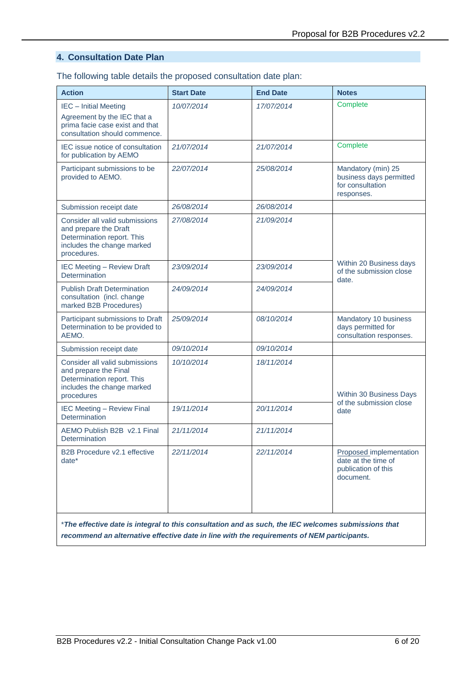#### **4. Consultation Date Plan**

The following table details the proposed consultation date plan:

| <b>Action</b>                                                                                                                      | <b>Start Date</b> | <b>End Date</b> | <b>Notes</b>                                                                       |
|------------------------------------------------------------------------------------------------------------------------------------|-------------------|-----------------|------------------------------------------------------------------------------------|
| <b>IEC</b> - Initial Meeting<br>Agreement by the IEC that a<br>prima facie case exist and that<br>consultation should commence.    | 10/07/2014        | 17/07/2014      | Complete                                                                           |
| IEC issue notice of consultation<br>for publication by AEMO                                                                        | 21/07/2014        | 21/07/2014      | Complete                                                                           |
| Participant submissions to be<br>provided to AEMO.                                                                                 | 22/07/2014        | 25/08/2014      | Mandatory (min) 25<br>business days permitted<br>for consultation<br>responses.    |
| Submission receipt date                                                                                                            | 26/08/2014        | 26/08/2014      |                                                                                    |
| Consider all valid submissions<br>and prepare the Draft<br>Determination report. This<br>includes the change marked<br>procedures. | 27/08/2014        | 21/09/2014      |                                                                                    |
| <b>IEC Meeting - Review Draft</b><br>Determination                                                                                 | 23/09/2014        | 23/09/2014      | Within 20 Business days<br>of the submission close<br>date.                        |
| <b>Publish Draft Determination</b><br>consultation (incl. change<br>marked B2B Procedures)                                         | 24/09/2014        | 24/09/2014      |                                                                                    |
| Participant submissions to Draft<br>Determination to be provided to<br>AEMO.                                                       | 25/09/2014        | 08/10/2014      | Mandatory 10 business<br>days permitted for<br>consultation responses.             |
| Submission receipt date                                                                                                            | 09/10/2014        | 09/10/2014      |                                                                                    |
| Consider all valid submissions<br>and prepare the Final<br>Determination report. This<br>includes the change marked<br>procedures  | 10/10/2014        | 18/11/2014      | Within 30 Business Days                                                            |
| <b>IEC Meeting - Review Final</b><br>Determination                                                                                 | 19/11/2014        | 20/11/2014      | of the submission close<br>date                                                    |
| AEMO Publish B2B v2.1 Final<br>Determination                                                                                       | 21/11/2014        | 21/11/2014      |                                                                                    |
| B2B Procedure v2.1 effective<br>date <sup>*</sup>                                                                                  | 22/11/2014        | 22/11/2014      | Proposed implementation<br>date at the time of<br>publication of this<br>document. |
| *The effective date is integral to this consultation and as such, the IEC welcomes submissions that                                |                   |                 |                                                                                    |

*recommend an alternative effective date in line with the requirements of NEM participants.*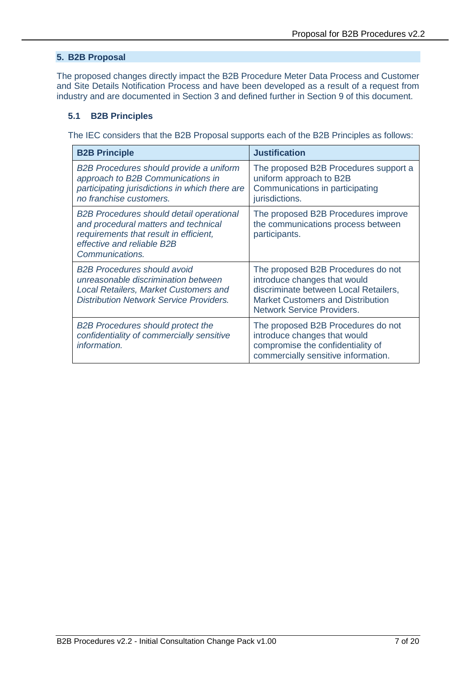#### **5. B2B Proposal**

The proposed changes directly impact the B2B Procedure Meter Data Process and Customer and Site Details Notification Process and have been developed as a result of a request from industry and are documented in Section 3 and defined further in Section [9](#page-10-0) of this document.

#### **5.1 B2B Principles**

The IEC considers that the B2B Proposal supports each of the B2B Principles as follows:

| <b>B2B Principle</b>                                                                                                                                                               | <b>Justification</b>                                                                                                                                                                         |
|------------------------------------------------------------------------------------------------------------------------------------------------------------------------------------|----------------------------------------------------------------------------------------------------------------------------------------------------------------------------------------------|
| <b>B2B Procedures should provide a uniform</b><br>approach to B2B Communications in<br>participating jurisdictions in which there are<br>no franchise customers.                   | The proposed B2B Procedures support a<br>uniform approach to B2B<br>Communications in participating<br>jurisdictions.                                                                        |
| <b>B2B Procedures should detail operational</b><br>and procedural matters and technical<br>requirements that result in efficient,<br>effective and reliable B2B<br>Communications. | The proposed B2B Procedures improve<br>the communications process between<br>participants.                                                                                                   |
| <b>B2B Procedures should avoid</b><br>unreasonable discrimination between<br><b>Local Retailers, Market Customers and</b><br><b>Distribution Network Service Providers.</b>        | The proposed B2B Procedures do not<br>introduce changes that would<br>discriminate between Local Retailers,<br><b>Market Customers and Distribution</b><br><b>Network Service Providers.</b> |
| <b>B2B Procedures should protect the</b><br>confidentiality of commercially sensitive<br>information.                                                                              | The proposed B2B Procedures do not<br>introduce changes that would<br>compromise the confidentiality of<br>commercially sensitive information.                                               |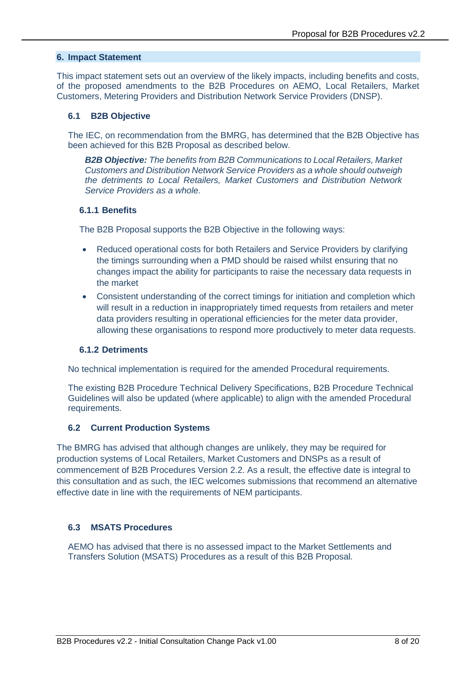#### **6. Impact Statement**

This impact statement sets out an overview of the likely impacts, including benefits and costs, of the proposed amendments to the B2B Procedures on AEMO, Local Retailers, Market Customers, Metering Providers and Distribution Network Service Providers (DNSP).

#### **6.1 B2B Objective**

The IEC, on recommendation from the BMRG, has determined that the B2B Objective has been achieved for this B2B Proposal as described below.

*B2B Objective: The benefits from B2B Communications to Local Retailers, Market Customers and Distribution Network Service Providers as a whole should outweigh the detriments to Local Retailers, Market Customers and Distribution Network Service Providers as a whole.*

#### **6.1.1 Benefits**

The B2B Proposal supports the B2B Objective in the following ways:

- Reduced operational costs for both Retailers and Service Providers by clarifying the timings surrounding when a PMD should be raised whilst ensuring that no changes impact the ability for participants to raise the necessary data requests in the market
- Consistent understanding of the correct timings for initiation and completion which will result in a reduction in inappropriately timed requests from retailers and meter data providers resulting in operational efficiencies for the meter data provider, allowing these organisations to respond more productively to meter data requests.

#### **6.1.2 Detriments**

No technical implementation is required for the amended Procedural requirements.

The existing B2B Procedure Technical Delivery Specifications, B2B Procedure Technical Guidelines will also be updated (where applicable) to align with the amended Procedural requirements.

#### **6.2 Current Production Systems**

The BMRG has advised that although changes are unlikely, they may be required for production systems of Local Retailers, Market Customers and DNSPs as a result of commencement of B2B Procedures Version 2.2. As a result, the effective date is integral to this consultation and as such, the IEC welcomes submissions that recommend an alternative effective date in line with the requirements of NEM participants.

#### **6.3 MSATS Procedures**

AEMO has advised that there is no assessed impact to the Market Settlements and Transfers Solution (MSATS) Procedures as a result of this B2B Proposal.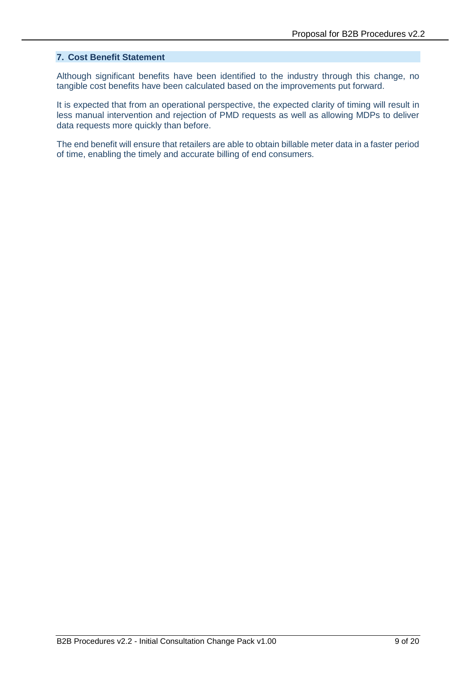#### **7. Cost Benefit Statement**

Although significant benefits have been identified to the industry through this change, no tangible cost benefits have been calculated based on the improvements put forward.

It is expected that from an operational perspective, the expected clarity of timing will result in less manual intervention and rejection of PMD requests as well as allowing MDPs to deliver data requests more quickly than before.

The end benefit will ensure that retailers are able to obtain billable meter data in a faster period of time, enabling the timely and accurate billing of end consumers.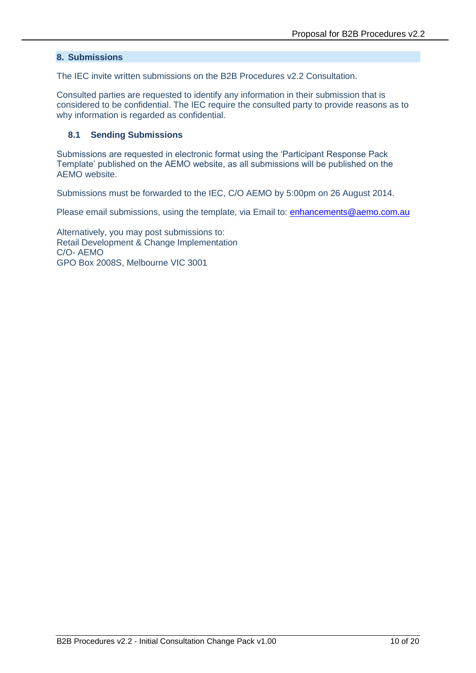#### **8. Submissions**

The IEC invite written submissions on the B2B Procedures v2.2 Consultation.

Consulted parties are requested to identify any information in their submission that is considered to be confidential. The IEC require the consulted party to provide reasons as to why information is regarded as confidential.

#### **8.1 Sending Submissions**

Submissions are requested in electronic format using the 'Participant Response Pack Template' published on the AEMO website, as all submissions will be published on the AEMO website.

Submissions must be forwarded to the IEC, C/O AEMO by 5:00pm on 26 August 2014.

Please email submissions, using the template, via Email to: [enhancements@aemo.com.au](mailto:enhancements@aemo.com.au)

Alternatively, you may post submissions to: Retail Development & Change Implementation C/O- AEMO GPO Box 2008S, Melbourne VIC 3001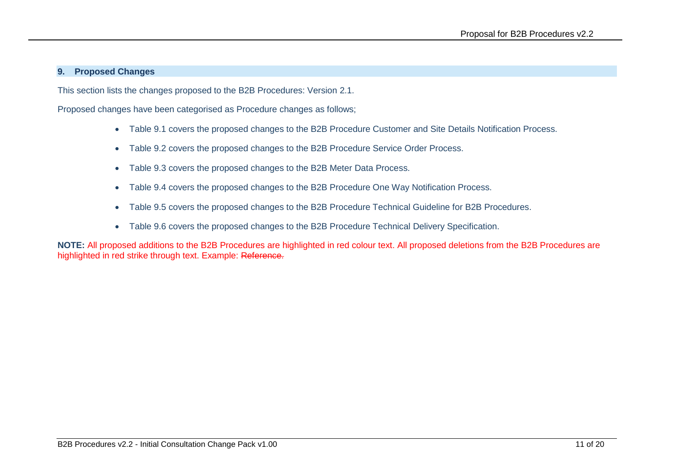#### **9. Proposed Changes**

This section lists the changes proposed to the B2B Procedures: Version 2.1.

Proposed changes have been categorised as Procedure changes as follows;

- Table 9.1 covers the proposed changes to the B2B Procedure Customer and Site Details Notification Process.
- Table 9.2 covers the proposed changes to the B2B Procedure Service Order Process.
- Table 9.3 covers the proposed changes to the B2B Meter Data Process.
- Table 9.4 covers the proposed changes to the B2B Procedure One Way Notification Process.
- Table 9.5 covers the proposed changes to the B2B Procedure Technical Guideline for B2B Procedures.
- Table 9.6 covers the proposed changes to the B2B Procedure Technical Delivery Specification.

<span id="page-10-0"></span>**NOTE:** All proposed additions to the B2B Procedures are highlighted in red colour text. All proposed deletions from the B2B Procedures are highlighted in red strike through text. Example: Reference.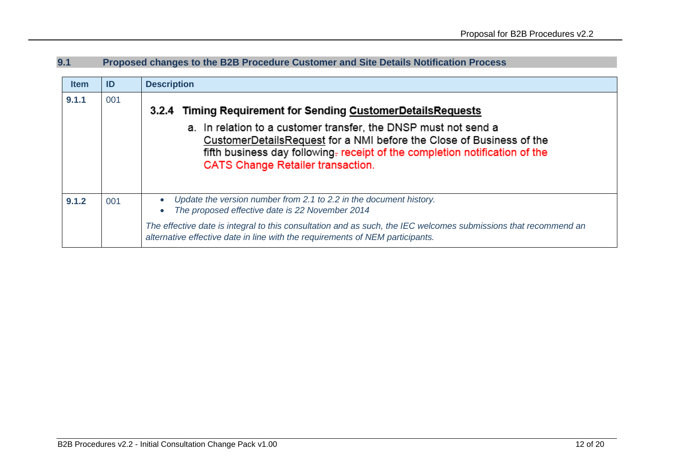## **9.1 Proposed changes to the B2B Procedure Customer and Site Details Notification Process**

| <b>Item</b> | ID  | <b>Description</b>                                                                                                                                                                                                                                                                                                                 |
|-------------|-----|------------------------------------------------------------------------------------------------------------------------------------------------------------------------------------------------------------------------------------------------------------------------------------------------------------------------------------|
| 9.1.1       | 001 | 3.2.4 Timing Requirement for Sending CustomerDetailsRequests<br>a. In relation to a customer transfer, the DNSP must not send a<br>CustomerDetailsRequest for a NMI before the Close of Business of the<br>fifth business day following. receipt of the completion notification of the<br><b>CATS Change Retailer transaction.</b> |
| 9.1.2       | 001 | Update the version number from 2.1 to 2.2 in the document history.<br>$\bullet$<br>The proposed effective date is 22 November 2014<br>$\bullet$                                                                                                                                                                                    |
|             |     | The effective date is integral to this consultation and as such, the IEC welcomes submissions that recommend an<br>alternative effective date in line with the requirements of NEM participants.                                                                                                                                   |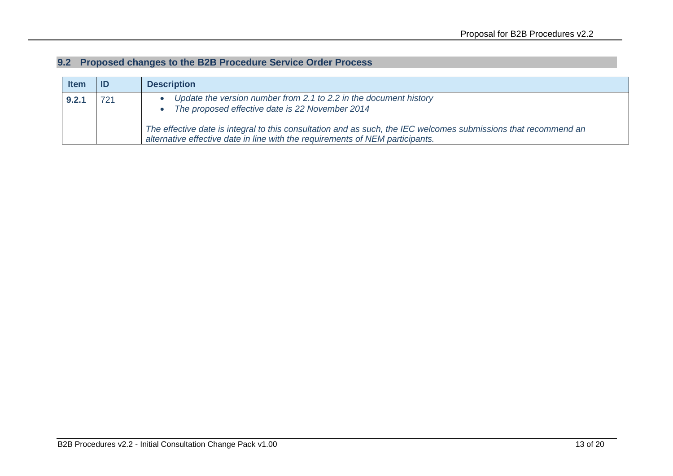## **9.2 Proposed changes to the B2B Procedure Service Order Process**

| <b>Item</b> |     | <b>Description</b>                                                                                                                                                                                                                      |
|-------------|-----|-----------------------------------------------------------------------------------------------------------------------------------------------------------------------------------------------------------------------------------------|
| 9.2.1       | 721 | Update the version number from 2.1 to 2.2 in the document history<br>The proposed effective date is 22 November 2014<br>The effective date is integral to this consultation and as such, the IEC welcomes submissions that recommend an |
|             |     | alternative effective date in line with the requirements of NEM participants.                                                                                                                                                           |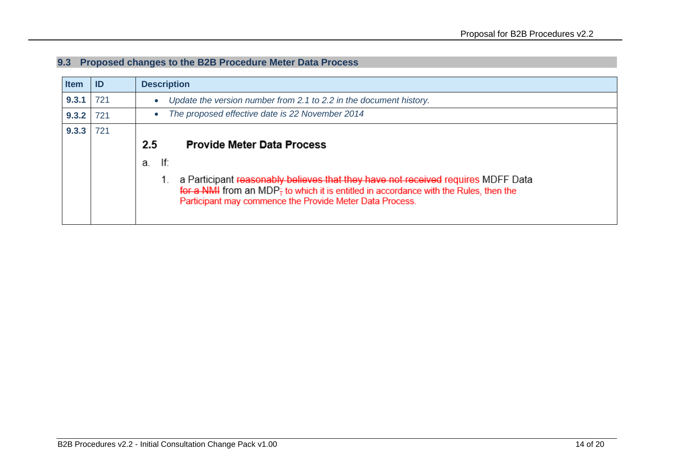## **9.3 Proposed changes to the B2B Procedure Meter Data Process**

| <b>Item</b> | ID  | <b>Description</b>                                                                                                                                                                                                                    |
|-------------|-----|---------------------------------------------------------------------------------------------------------------------------------------------------------------------------------------------------------------------------------------|
| 9.3.1       | 721 | Update the version number from 2.1 to 2.2 in the document history.                                                                                                                                                                    |
| 9.3.2       | 721 | The proposed effective date is 22 November 2014                                                                                                                                                                                       |
| 9.3.3       | 721 |                                                                                                                                                                                                                                       |
|             |     | <b>Provide Meter Data Process</b><br>$2.5\,$                                                                                                                                                                                          |
|             |     | lf:<br>a.                                                                                                                                                                                                                             |
|             |     | a Participant reasonably believes that they have not received requires MDFF Data<br>for a NMI from an MDP; to which it is entitled in accordance with the Rules, then the<br>Participant may commence the Provide Meter Data Process. |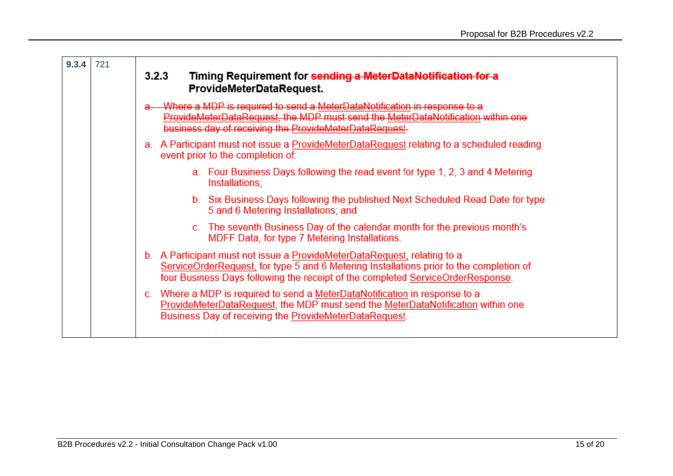| 9.3.4 | 721 | 3.2.3<br>Timing Requirement for sending a MeterDataNotification for a<br>ProvideMeterDataRequest.                                                                                                                                                      |
|-------|-----|--------------------------------------------------------------------------------------------------------------------------------------------------------------------------------------------------------------------------------------------------------|
|       |     | Where a MDP is required to send a MeterDataNotification in response to a<br>ProvideMeterDataRequest, the MDP must send the MeterDataNotification within one<br>business day of receiving the ProvideMeterDataRequest.                                  |
|       |     | a. A Participant must not issue a ProvideMeterDataRequest relating to a scheduled reading<br>event prior to the completion of:                                                                                                                         |
|       |     | a. Four Business Days following the read event for type 1, 2, 3 and 4 Metering<br>Installations;                                                                                                                                                       |
|       |     | b. Six Business Days following the published Next Scheduled Read Date for type<br>5 and 6 Metering Installations; and                                                                                                                                  |
|       |     | c. The seventh Business Day of the calendar month for the previous month's<br>MDFF Data, for type 7 Metering Installations.                                                                                                                            |
|       |     | b. A Participant must not issue a ProvideMeterDataRequest, relating to a<br>ServiceOrderRequest, for type 5 and 6 Metering Installations prior to the completion of<br>four Business Days following the receipt of the completed ServiceOrderResponse. |
|       |     | Where a MDP is required to send a MeterDataNotification in response to a<br>ProvideMeterDataRequest, the MDP must send the MeterDataNotification within one<br>Business Day of receiving the ProvideMeterDataRequest.                                  |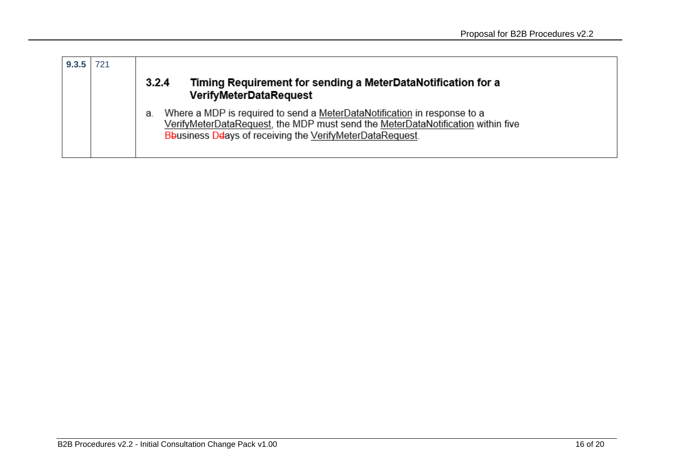| 9.3.5 | 721 |                                                                                                                                                                                                                                       |
|-------|-----|---------------------------------------------------------------------------------------------------------------------------------------------------------------------------------------------------------------------------------------|
|       |     | Timing Requirement for sending a MeterDataNotification for a<br>3.2.4<br><b>VerifyMeterDataRequest</b>                                                                                                                                |
|       |     | Where a MDP is required to send a MeterDataNotification in response to a<br>а.<br>VerifyMeterDataRequest, the MDP must send the MeterDataNotification within five<br><b>B</b> business Ddays of receiving the VerifyMeterDataRequest. |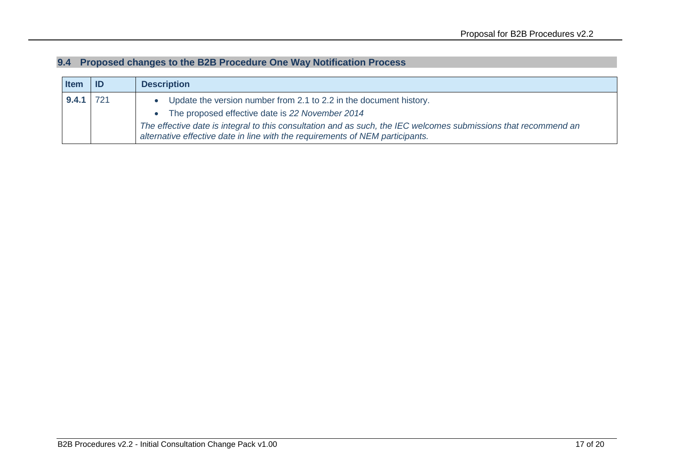| 9.4 Proposed changes to the B2B Procedure One Way Notification Process |  |  |
|------------------------------------------------------------------------|--|--|
|                                                                        |  |  |

| <b>I</b> tem | ID  | <b>Description</b>                                                                                                                                                                               |
|--------------|-----|--------------------------------------------------------------------------------------------------------------------------------------------------------------------------------------------------|
| 9.4.1        | 721 | Update the version number from 2.1 to 2.2 in the document history.                                                                                                                               |
|              |     | The proposed effective date is 22 November 2014                                                                                                                                                  |
|              |     | The effective date is integral to this consultation and as such, the IEC welcomes submissions that recommend an<br>alternative effective date in line with the requirements of NEM participants. |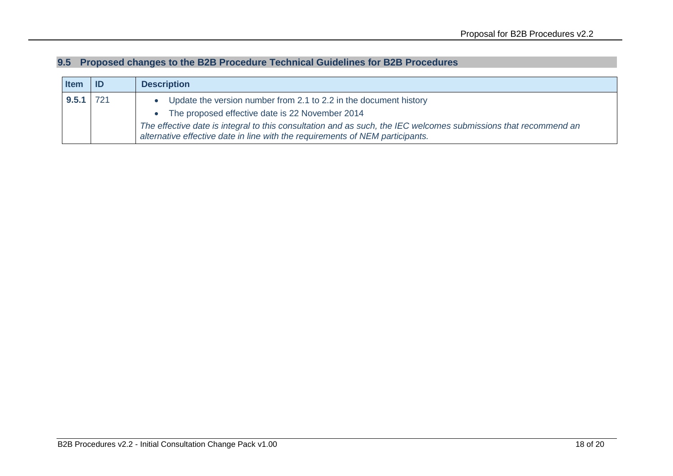| <b>I</b> tem | ID  | <b>Description</b>                                                                                                                                                                               |
|--------------|-----|--------------------------------------------------------------------------------------------------------------------------------------------------------------------------------------------------|
| 9.5.1        | 721 | Update the version number from 2.1 to 2.2 in the document history                                                                                                                                |
|              |     | The proposed effective date is 22 November 2014                                                                                                                                                  |
|              |     | The effective date is integral to this consultation and as such, the IEC welcomes submissions that recommend an<br>alternative effective date in line with the requirements of NEM participants. |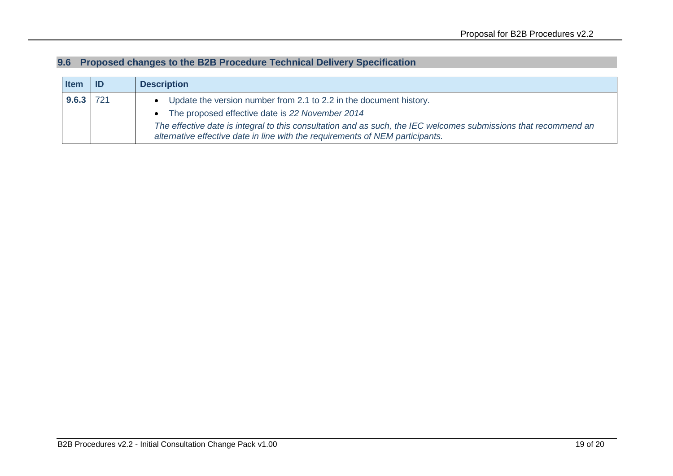|  |  | 9.6 Proposed changes to the B2B Procedure Technical Delivery Specification |  |  |
|--|--|----------------------------------------------------------------------------|--|--|
|--|--|----------------------------------------------------------------------------|--|--|

| <b>Item</b> |     | <b>Description</b>                                                                                                                                                                               |
|-------------|-----|--------------------------------------------------------------------------------------------------------------------------------------------------------------------------------------------------|
| 9.6.3       | 721 | Update the version number from 2.1 to 2.2 in the document history.                                                                                                                               |
|             |     | The proposed effective date is 22 November 2014                                                                                                                                                  |
|             |     | The effective date is integral to this consultation and as such, the IEC welcomes submissions that recommend an<br>alternative effective date in line with the requirements of NEM participants. |